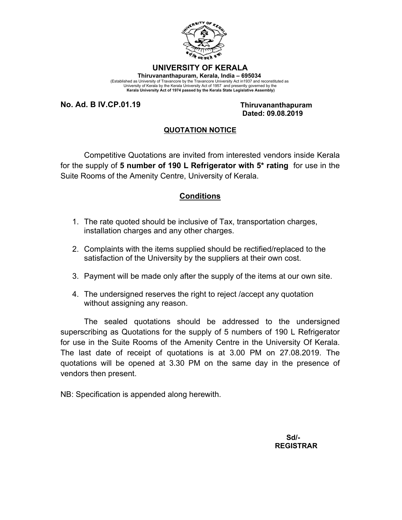

## **UNIVERSITY OF KERALA Thiruvananthapuram, Kerala, India – 695034**

(Established as University of Travancore by the Travancore University Act in1937 and reconstituted as<br>University of Kerala by the Kerala University Act of 1957 and presently governed by the<br>Kerala University Act of 1974 pa

**No. Ad. B IV.CP.01.19 Thiruvananthapuram**

 **Dated: 09.08.2019**

## **QUOTATION NOTICE**

Competitive Quotations are invited from interested vendors inside Kerala for the supply of **5 number of 190 L Refrigerator with 5\* rating** for use in the Suite Rooms of the Amenity Centre, University of Kerala.

## **Conditions**

- 1. The rate quoted should be inclusive of Tax, transportation charges, installation charges and any other charges.
- 2. Complaints with the items supplied should be rectified/replaced to the satisfaction of the University by the suppliers at their own cost.
- 3. Payment will be made only after the supply of the items at our own site.
- 4. The undersigned reserves the right to reject /accept any quotation without assigning any reason.

The sealed quotations should be addressed to the undersigned superscribing as Quotations for the supply of 5 numbers of 190 L Refrigerator for use in the Suite Rooms of the Amenity Centre in the University Of Kerala. The last date of receipt of quotations is at 3.00 PM on 27.08.2019. The quotations will be opened at 3.30 PM on the same day in the presence of vendors then present.

NB: Specification is appended along herewith.

**Sd/-**  $S$ d/- **REGISTRAR**